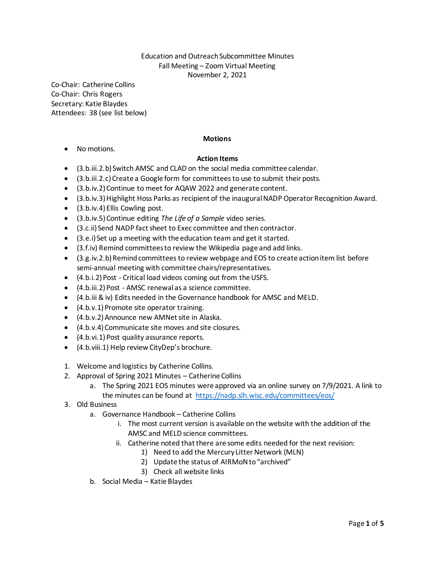## Education and Outreach Subcommittee Minutes Fall Meeting – Zoom Virtual Meeting November 2, 2021

Co-Chair: Catherine Collins Co-Chair: Chris Rogers Secretary: Katie Blaydes Attendees: 38 (see list below)

## **Motions**

• No motions.

## **Action Items**

- (3.b.iii.2.b) Switch AMSC and CLAD on the social media committee calendar.
- (3.b.iii.2.c) Create a Google form for committees to use to submit their posts.
- (3.b.iv.2)Continue to meet for AQAW 2022 and generate content.
- (3.b.iv.3)Highlight Hoss Parks as recipient of the inaugural NADP Operator Recognition Award.
- (3.b.iv.4) Ellis Cowling post.
- (3.b.iv.5)Continue editing *The Life of a Sample* video series.
- (3.c.ii) Send NADP fact sheet to Exec committee and then contractor.
- (3.e.i) Set up a meeting with the education team and get it started.
- (3.f.iv) Remind committees to review the Wikipedia page and add links.
- (3.g.iv.2.b)Remind committees to review webpage and EOS to create action item list before semi-annual meeting with committee chairs/representatives.
- (4.b.i.2) Post Critical load videos coming out from the USFS.
- (4.b.iii.2) Post AMSC renewal as a science committee.
- (4.b.iii & iv) Edits needed in the Governance handbook for AMSC and MELD.
- (4.b.v.1) Promote site operator training.
- (4.b.v.2) Announce new AMNet site in Alaska.
- (4.b.v.4) Communicate site moves and site closures.
- (4.b.vi.1) Post quality assurance reports.
- (4.b.viii.1) Help review CityDep's brochure.
- 1. Welcome and logistics by Catherine Collins.
- 2. Approval of Spring 2021 Minutes Catherine Collins
	- a. The Spring 2021 EOS minutes were approved via an online survey on 7/9/2021. A link to the minutes can be found at  <https://nadp.slh.wisc.edu/committees/eos/>
- 3. Old Business
	- a. Governance Handbook Catherine Collins
		- i. The most current version is available on the website with the addition of the AMSC and MELD science committees.
		- ii. Catherine noted that there are some edits needed for the next revision:
			- 1) Need to add the Mercury Litter Network (MLN)
			- 2) Update the status of AIRMoN to "archived"
			- 3) Check all website links
	- b. Social Media Katie Blaydes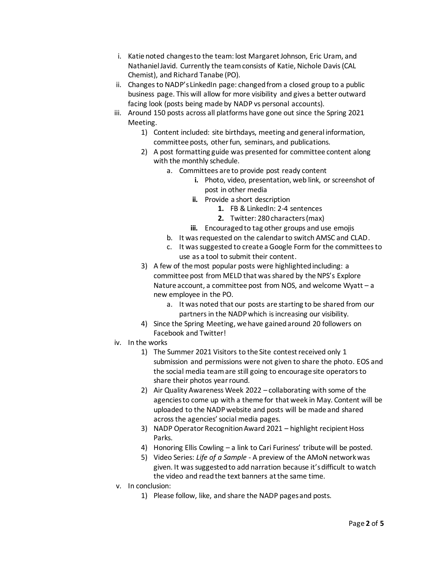- i. Katie noted changes to the team: lost Margaret Johnson, Eric Uram, and Nathaniel Javid. Currently the team consists of Katie, Nichole Davis (CAL Chemist), and Richard Tanabe (PO).
- ii. Changes to NADP's LinkedIn page: changed from a closed group to a public business page. This will allow for more visibility and gives a better outward facing look (posts being made by NADP vs personal accounts).
- iii. Around 150 posts across all platforms have gone out since the Spring 2021 Meeting.
	- 1) Content included: site birthdays, meeting and general information, committee posts, other fun, seminars, and publications.
	- 2) A post formatting guide was presented for committee content along with the monthly schedule.
		- a. Committees are to provide post ready content
			- **i.** Photo, video, presentation, web link, or screenshot of post in other media
			- **ii.** Provide a short description
				- **1.** FB & LinkedIn: 2-4 sentences
				- **2.** Twitter: 280 characters (max)
			- **iii.** Encouraged to tag other groups and use emojis
		- b. It was requested on the calendar to switch AMSC and CLAD.
		- c. It was suggested to create a Google Form for the committees to use as a tool to submit their content.
	- 3) A few of the most popular posts were highlighted including: a committee post from MELD that was shared by the NPS's Explore Nature account, a committee post from NOS, and welcome Wyatt – a new employee in the PO.
		- a. It was noted that our posts are starting to be shared from our partners in the NADP which is increasing our visibility.
	- 4) Since the Spring Meeting, we have gained around 20 followers on Facebook and Twitter!
- iv. In the works
	- 1) The Summer 2021 Visitors to the Site contest received only 1 submission and permissions were not given to share the photo. EOS and the social media team are still going to encourage site operators to share their photos year round.
	- 2) Air Quality Awareness Week 2022 collaborating with some of the agencies to come up with a theme for that week in May. Content will be uploaded to the NADP website and posts will be made and shared across the agencies' social media pages.
	- 3) NADP Operator Recognition Award 2021 highlight recipient Hoss Parks.
	- 4) Honoring Ellis Cowling a link to Cari Furiness' tribute will be posted.
	- 5) Video Series: *Life of a Sample* A preview of the AMoN networkwas given. It was suggested to add narration because it's difficult to watch the video and read the text banners at the same time.
- v. In conclusion:
	- 1) Please follow, like, and share the NADP pages and posts.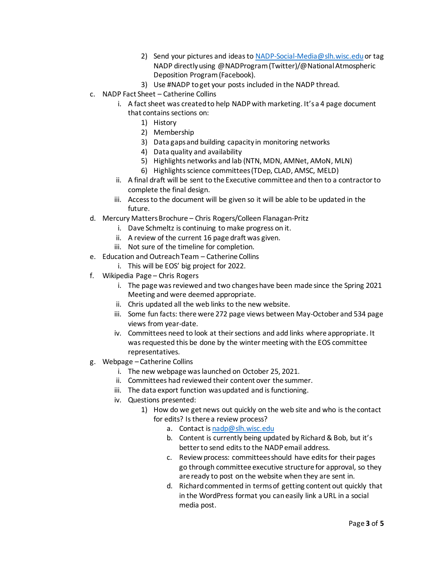- 2) Send your pictures and ideas t[o NADP-Social-Media@slh.wisc.edu](mailto:NADP-Social-Media@slh.wisc.edu) or tag NADP directly using @NADProgram (Twitter)/@National Atmospheric Deposition Program (Facebook).
- 3) Use #NADP to get your posts included in the NADP thread.
- c. NADP Fact Sheet Catherine Collins
	- i. A fact sheet was created to help NADP with marketing. It's a 4 page document that contains sections on:
		- 1) History
		- 2) Membership
		- 3) Data gaps and building capacity in monitoring networks
		- 4) Data quality and availability
		- 5) Highlights networks and lab (NTN, MDN, AMNet, AMoN, MLN)
		- 6) Highlights science committees (TDep, CLAD, AMSC, MELD)
	- ii. A final draft will be sent to the Executive committee and then to a contractor to complete the final design.
	- iii. Access to the document will be given so it will be able to be updated in the future.
- d. Mercury Matters Brochure Chris Rogers/Colleen Flanagan-Pritz
	- i. Dave Schmeltz is continuing to make progress on it.
	- ii. A review of the current 16 page draft was given.
	- iii. Not sure of the timeline for completion.
- e. Education and Outreach Team Catherine Collins
	- i. This will be EOS' big project for 2022.
- f. Wikipedia Page Chris Rogers
	- i. The page was reviewed and two changes have been made since the Spring 2021 Meeting and were deemed appropriate.
	- ii. Chris updated all the web links to the new website.
	- iii. Some fun facts: there were 272 page views between May-October and 534 page views from year-date.
	- iv. Committees need to look at their sections and add links where appropriate. It was requested this be done by the winter meeting with the EOS committee representatives.
- g. Webpage Catherine Collins
	- i. The new webpage was launched on October 25, 2021.
	- ii. Committees had reviewed their content over the summer.
	- iii. The data export function was updated and is functioning.
	- iv. Questions presented:
		- 1) How do we get news out quickly on the web site and who is the contact for edits? Is there a review process?
			- a. Contact i[s nadp@slh.wisc.edu](mailto:nadp@slh.wisc.edu)
			- b. Content is currently being updated by Richard & Bob, but it's better to send edits to the NADP email address.
			- c. Review process: committees should have edits for their pages go through committee executive structure for approval, so they are ready to post on the website when they are sent in.
			- d. Richard commented in terms of getting content out quickly that in the WordPress format you can easily link a URL in a social media post.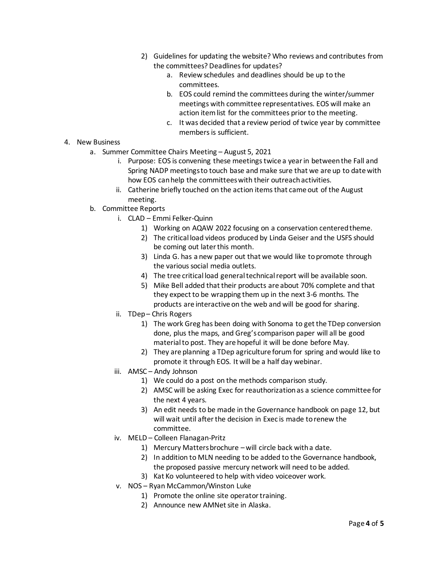- 2) Guidelines for updating the website? Who reviews and contributes from the committees? Deadlines for updates?
	- a. Review schedules and deadlines should be up to the committees.
	- b. EOS could remind the committees during the winter/summer meetings with committee representatives. EOS will make an action item list for the committees prior to the meeting.
	- c. It was decided that a review period of twice year by committee members is sufficient.
- 4. New Business
	- a. Summer Committee Chairs Meeting August 5, 2021
		- i. Purpose: EOS is convening these meetings twice a year in between the Fall and Spring NADP meetings to touch base and make sure that we are up to date with how EOS can help the committees with their outreach activities.
		- ii. Catherine briefly touched on the action items that came out of the August meeting.
	- b. Committee Reports
		- i. CLAD Emmi Felker-Quinn
			- 1) Working on AQAW 2022 focusing on a conservation centered theme.
			- 2) The critical load videos produced by Linda Geiser and the USFS should be coming out later this month.
			- 3) Linda G. has a new paper out that we would like to promote through the various social media outlets.
			- 4) The tree critical load general technical report will be available soon.
			- 5) Mike Bell added that their products are about 70% complete and that they expect to be wrapping them up in the next 3-6 months. The products are interactive on the web and will be good for sharing.
		- ii. TDep Chris Rogers
			- 1) The work Greg has been doing with Sonoma to get the TDep conversion done, plus the maps, and Greg's comparison paper will all be good material to post. They are hopeful it will be done before May.
			- 2) They are planning a TDep agriculture forum for spring and would like to promote it through EOS. It will be a half day webinar.
		- iii. AMSC Andy Johnson
			- 1) We could do a post on the methods comparison study.
			- 2) AMSC will be asking Exec for reauthorization as a science committee for the next 4 years.
			- 3) An edit needs to be made in the Governance handbook on page 12, but will wait until after the decision in Exec is made to renew the committee.
		- iv. MELD Colleen Flanagan-Pritz
			- 1) Mercury Matters brochure will circle back with a date.
			- 2) In addition to MLN needing to be added to the Governance handbook, the proposed passive mercury network will need to be added.
			- 3) Kat Ko volunteered to help with video voiceover work.
		- v. NOS Ryan McCammon/Winston Luke
			- 1) Promote the online site operator training.
			- 2) Announce new AMNet site in Alaska.